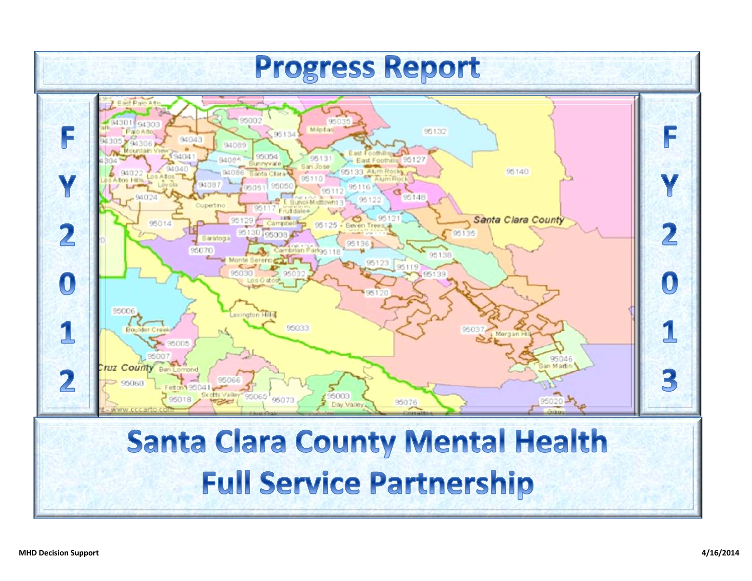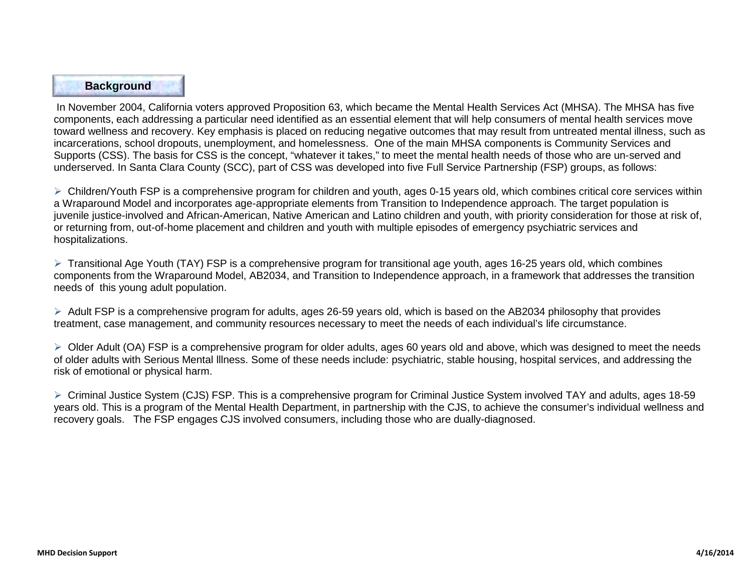## **Background**

In November 2004, California voters approved Proposition 63, which became the Mental Health Services Act (MHSA). The MHSA has five components, each addressing a particular need identified as an essential element that will help consumers of mental health services move toward wellness and recovery. Key emphasis is placed on reducing negative outcomes that may result from untreated mental illness, such as incarcerations, school dropouts, unemployment, and homelessness. One of the main MHSA components is Community Services and Supports (CSS). The basis for CSS is the concept, "whatever it takes," to meet the mental health needs of those who are un-served and underserved. In Santa Clara County (SCC), part of CSS was developed into five Full Service Partnership (FSP) groups, as follows:

 $\triangleright$  Children/Youth FSP is a comprehensive program for children and youth, ages 0-15 years old, which combines critical core services within a Wraparound Model and incorporates age-appropriate elements from Transition to Independence approach. The target population is juvenile justice-involved and African-American, Native American and Latino children and youth, with priority consideration for those at risk of, or returning from, out-of-home placement and children and youth with multiple episodes of emergency psychiatric services and hospitalizations.

 $\triangleright$  Transitional Age Youth (TAY) FSP is a comprehensive program for transitional age youth, ages 16-25 years old, which combines components from the Wraparound Model, AB2034, and Transition to Independence approach, in a framework that addresses the transition needs of this young adult population.

 $\triangleright$  Adult FSP is a comprehensive program for adults, ages 26-59 years old, which is based on the AB2034 philosophy that provides treatment, case management, and community resources necessary to meet the needs of each individual's life circumstance.

 $\triangleright$  Older Adult (OA) FSP is a comprehensive program for older adults, ages 60 years old and above, which was designed to meet the needs of older adults with Serious Mental lllness. Some of these needs include: psychiatric, stable housing, hospital services, and addressing the risk of emotional or physical harm.

 Criminal Justice System (CJS) FSP. This is a comprehensive program for Criminal Justice System involved TAY and adults, ages 18-59 years old. This is a program of the Mental Health Department, in partnership with the CJS, to achieve the consumer's individual wellness and recovery goals. The FSP engages CJS involved consumers, including those who are dually-diagnosed.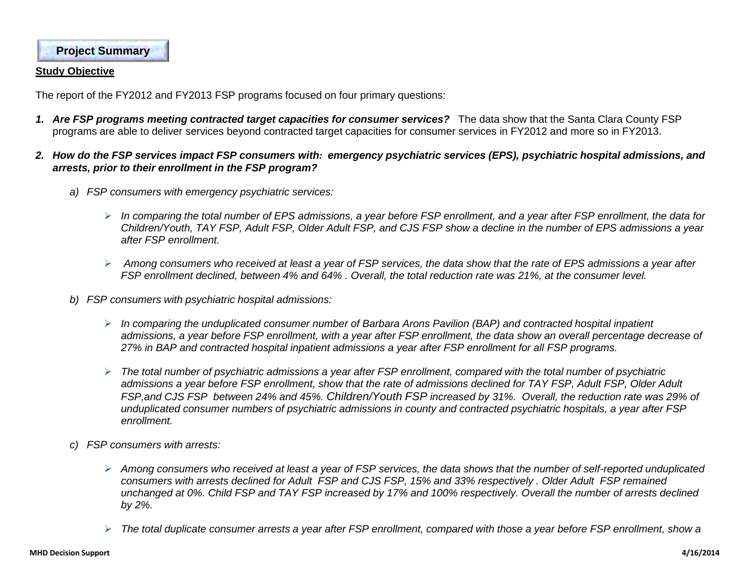**Project Summary**

#### **Study Objective**

The report of the FY2012 and FY2013 FSP programs focused on four primary questions:

- *1. Are FSP programs meeting contracted target capacities for consumer services?* The data show that the Santa Clara County FSP programs are able to deliver services beyond contracted target capacities for consumer services in FY2012 and more so in FY2013.
- *2. How do the FSP services impact FSP consumers with: emergency psychiatric services (EPS), psychiatric hospital admissions, and arrests, prior to their enrollment in the FSP program?* 
	- *a) FSP consumers with emergency psychiatric services:* 
		- *In comparing the total number of EPS admissions, a year before FSP enrollment, and a year after FSP enrollment, the data for Children/Youth, TAY FSP, Adult FSP, Older Adult FSP, and CJS FSP show a decline in the number of EPS admissions a year after FSP enrollment.*
		- *Among consumers who received at least a year of FSP services, the data show that the rate of EPS admissions a year after FSP enrollment declined, between 4% and 64% . Overall, the total reduction rate was 21%, at the consumer level.*
	- *b) FSP consumers with psychiatric hospital admissions:* 
		- *In comparing the unduplicated consumer number of Barbara Arons Pavilion (BAP) and contracted hospital inpatient admissions, a year before FSP enrollment, with a year after FSP enrollment, the data show an overall percentage decrease of 27% in BAP and contracted hospital inpatient admissions a year after FSP enrollment for all FSP programs.*
		- *The total number of psychiatric admissions a year after FSP enrollment, compared with the total number of psychiatric admissions a year before FSP enrollment, show that the rate of admissions declined for TAY FSP, Adult FSP, Older Adult FSP,and CJS FSP between 24% and 45%. Children/Youth FSP increased by 31%. Overall, the reduction rate was 29% of unduplicated consumer numbers of psychiatric admissions in county and contracted psychiatric hospitals, a year after FSP enrollment.*
	- *c) FSP consumers with arrests:* 
		- *Among consumers who received at least a year of FSP services, the data shows that the number of self-reported unduplicated consumers with arrests declined for Adult FSP and CJS FSP, 15% and 33% respectively . Older Adult FSP remained unchanged at 0%. Child FSP and TAY FSP increased by 17% and 100% respectively. Overall the number of arrests declined by 2%.*
		- *The total duplicate consumer arrests a year after FSP enrollment, compared with those a year before FSP enrollment, show a*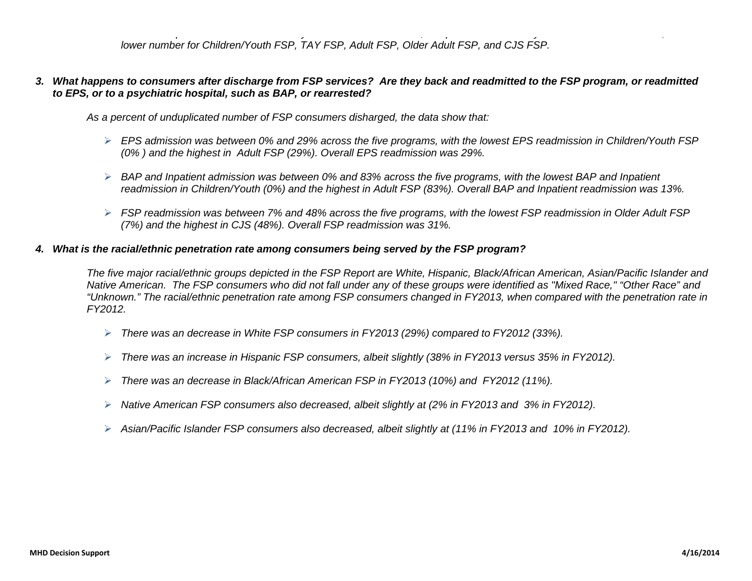*p y , p y , lower number for Children/Youth FSP, TAY FSP, Adult FSP, Older Adult FSP, and CJS FSP.* 

### *3. What happens to consumers after discharge from FSP services? Are they back and readmitted to the FSP program, or readmitted to EPS, or to a psychiatric hospital, such as BAP, or rearrested?*

*As a percent of unduplicated number of FSP consumers disharged, the data show that:*

- *EPS admission was between 0% and 29% across the five programs, with the lowest EPS readmission in Children/Youth FSP (0% ) and the highest in Adult FSP (29%). Overall EPS readmission was 29%.*
- *BAP and Inpatient admission was between 0% and 83% across the five programs, with the lowest BAP and Inpatient readmission in Children/Youth (0%) and the highest in Adult FSP (83%). Overall BAP and Inpatient readmission was 13%.*
- *FSP readmission was between 7% and 48% across the five programs, with the lowest FSP readmission in Older Adult FSP (7%) and the highest in CJS (48%). Overall FSP readmission was 31%.*

#### *4. What is the racial/ethnic penetration rate among consumers being served by the FSP program?*

*The five major racial/ethnic groups depicted in the FSP Report are White, Hispanic, Black/African American, Asian/Pacific Islander and Native American. The FSP consumers who did not fall under any of these groups were identified as "Mixed Race," "Other Race" and "Unknown." The racial/ethnic penetration rate among FSP consumers changed in FY2013, when compared with the penetration rate in FY2012.* 

- *There was an decrease in White FSP consumers in FY2013 (29%) compared to FY2012 (33%).*
- *There was an increase in Hispanic FSP consumers, albeit slightly (38% in FY2013 versus 35% in FY2012).*
- *There was an decrease in Black/African American FSP in FY2013 (10%) and FY2012 (11%).*
- *Native American FSP consumers also decreased, albeit slightly at (2% in FY2013 and 3% in FY2012).*
- *Asian/Pacific Islander FSP consumers also decreased, albeit slightly at (11% in FY2013 and 10% in FY2012).*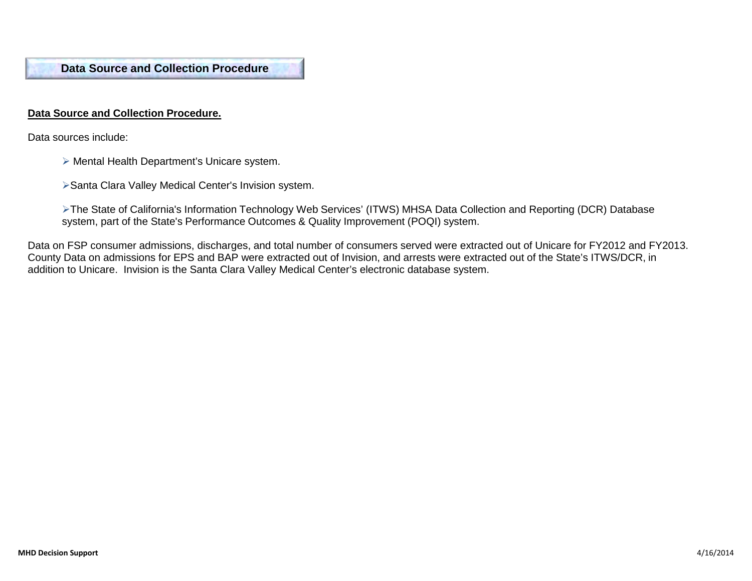**Data Source and Collection Procedure**

### **Data Source and Collection Procedure.**

Data sources include:

ł

- Mental Health Department's Unicare system.
- Santa Clara Valley Medical Center's Invision system.
- The State of California's Information Technology Web Services' (ITWS) MHSA Data Collection and Reporting (DCR) Database system, part of the State's Performance Outcomes & Quality Improvement (POQI) system.

Data on FSP consumer admissions, discharges, and total number of consumers served were extracted out of Unicare for FY2012 and FY2013. County Data on admissions for EPS and BAP were extracted out of Invision, and arrests were extracted out of the State's ITWS/DCR, in addition to Unicare. Invision is the Santa Clara Valley Medical Center's electronic database system.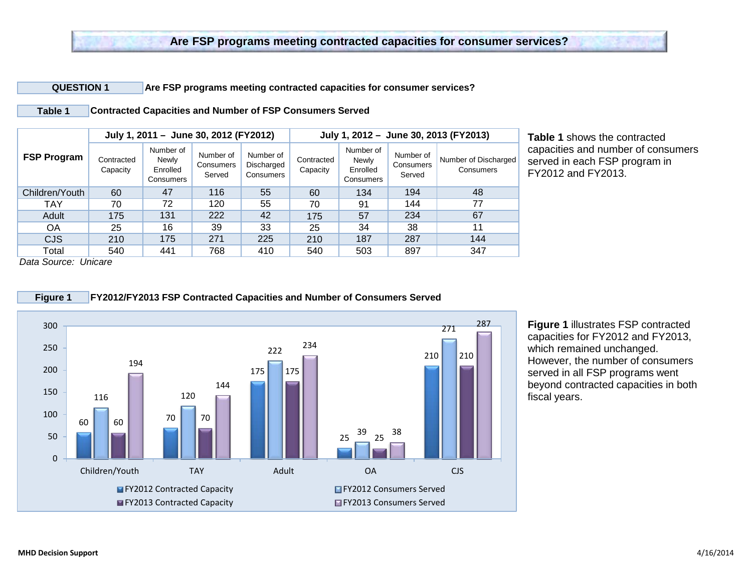#### **QUESTION 1 Are FSP programs meeting contracted capacities for consumer services?**

**Table 1 Contracted Capacities and Number of FSP Consumers Served**

|                    |                        | July 1, 2011 - June 30, 2012 (FY2012)       |                                  |                                      |                        |                                             |                                  | July 1, 2012 - June 30, 2013 (FY2013) |
|--------------------|------------------------|---------------------------------------------|----------------------------------|--------------------------------------|------------------------|---------------------------------------------|----------------------------------|---------------------------------------|
| <b>FSP Program</b> | Contracted<br>Capacity | Number of<br>Newly<br>Enrolled<br>Consumers | Number of<br>Consumers<br>Served | Number of<br>Discharged<br>Consumers | Contracted<br>Capacity | Number of<br>Newly<br>Enrolled<br>Consumers | Number of<br>Consumers<br>Served | Number of Discharged<br>Consumers     |
| Children/Youth     | 60                     | 47                                          | 116                              | 55                                   | 60                     | 134                                         | 194                              | 48                                    |
| <b>TAY</b>         | 70                     | 72                                          | 120                              | 55                                   | 70                     | 91                                          | 144                              | 77                                    |
| Adult              | 175                    | 131                                         | 222                              | 42                                   | 175                    | 57                                          | 234                              | 67                                    |
| <b>OA</b>          | 25                     | 16                                          | 39                               | 33                                   | 25                     | 34                                          | 38                               | 11                                    |
| <b>CJS</b>         | 210                    | 175                                         | 271                              | 225                                  | 210                    | 187                                         | 287                              | 144                                   |
| Total              | 540                    | 441                                         | 768                              | 410                                  | 540                    | 503                                         | 897                              | 347                                   |

**Table 1** shows the contracted capacities and number of consumers served in each FSP program in FY2012 and FY2013.

*Data Source: Unicare* 



**Figure 1** illustrates FSP contracted capacities for FY2012 and FY2013, which remained unchanged. However, the number of consumers served in all FSP programs went beyond contracted capacities in both fiscal years.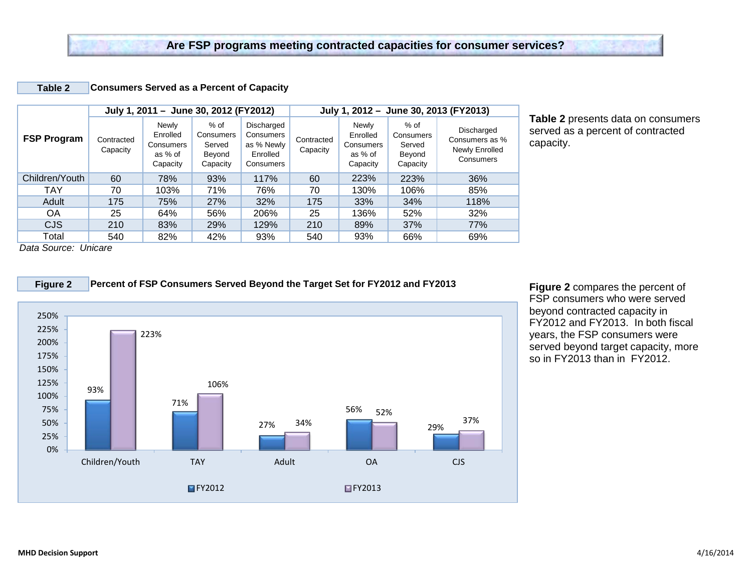#### **Table 2 Consumers Served as a Percent of Capacity**

|                    |                        | July 1, 2011 - June 30, 2012 (FY2012)                 |                                                     |                                                                |                        |                                                       |                                                     | July 1, 2012 - June 30, 2013 (FY2013)                       |
|--------------------|------------------------|-------------------------------------------------------|-----------------------------------------------------|----------------------------------------------------------------|------------------------|-------------------------------------------------------|-----------------------------------------------------|-------------------------------------------------------------|
| <b>FSP Program</b> | Contracted<br>Capacity | Newly<br>Enrolled<br>Consumers<br>as % of<br>Capacity | $%$ of<br>Consumers<br>Served<br>Beyond<br>Capacity | Discharged<br>Consumers<br>as % Newly<br>Enrolled<br>Consumers | Contracted<br>Capacity | Newly<br>Enrolled<br>Consumers<br>as % of<br>Capacity | $%$ of<br>Consumers<br>Served<br>Beyond<br>Capacity | Discharged<br>Consumers as %<br>Newly Enrolled<br>Consumers |
| Children/Youth     | 60                     | 78%                                                   | 93%                                                 | 117%                                                           | 60                     | 223%                                                  | 223%                                                | 36%                                                         |
| <b>TAY</b>         | 70                     | 103%                                                  | 71%                                                 | 76%                                                            | 70                     | 130%                                                  | 106%                                                | 85%                                                         |
| Adult              | 175                    | 75%                                                   | 27%                                                 | 32%                                                            | 175                    | 33%                                                   | 34%                                                 | 118%                                                        |
| <b>OA</b>          | 25                     | 64%                                                   | 56%                                                 | 206%                                                           | 25                     | 136%                                                  | 52%                                                 | 32%                                                         |
| <b>CJS</b>         | 210                    | 83%                                                   | 29%                                                 | 129%                                                           | 210                    | 89%                                                   | 37%                                                 | 77%                                                         |
| Total              | 540                    | 82%                                                   | 42%                                                 | 93%                                                            | 540                    | 93%                                                   | 66%                                                 | 69%                                                         |

**Table 2** presents data on consumers served as a percent of contracted capacity.

*Data Source: Unicare* 



**Figure 2 Percent of FSP Consumers Served Beyond the Target Set for FY2012 and FY2013**

**Figure 2** compares the percent of FSP consumers who were served beyond contracted capacity in FY2012 and FY2013. In both fiscal years, the FSP consumers were served beyond target capacity, more so in FY2013 than in FY2012.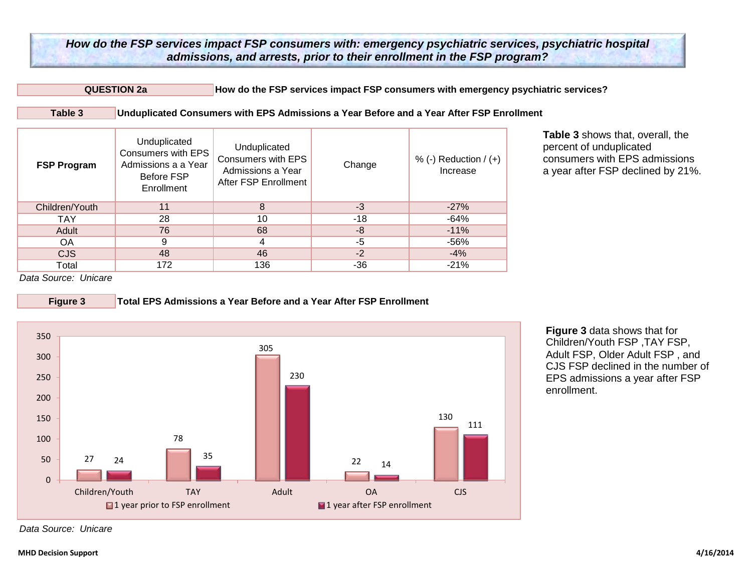**QUESTION 2a How do the FSP services impact FSP consumers with emergency psychiatric services?** 

| Table 3 | Unduplicated Consumers with EPS Admissions a Year Before and a Year After FSP Enrollment |
|---------|------------------------------------------------------------------------------------------|
|---------|------------------------------------------------------------------------------------------|

| <b>FSP Program</b> | Unduplicated<br>Consumers with EPS<br>Admissions a a Year<br>Before FSP<br>Enrollment | Unduplicated<br>Consumers with EPS<br>Admissions a Year<br>After FSP Enrollment | Change | % (-) Reduction $/$ (+)<br>Increase |
|--------------------|---------------------------------------------------------------------------------------|---------------------------------------------------------------------------------|--------|-------------------------------------|
| Children/Youth     | 11                                                                                    | 8                                                                               | $-3$   | $-27%$                              |
| <b>TAY</b>         | 28                                                                                    | 10                                                                              | -18    | -64%                                |
| Adult              | 76                                                                                    | 68                                                                              | -8     | $-11%$                              |
| OA                 | 9                                                                                     | 4                                                                               | $-5$   | $-56%$                              |
| <b>CJS</b>         | 48                                                                                    | 46                                                                              | $-2$   | $-4%$                               |
| Total              | 172                                                                                   | 136                                                                             | -36    | $-21%$                              |

**Table 3** shows that, overall, the percent of unduplicated consumers with EPS admissions a year after FSP declined by 21%.

*Data Source: Unicare*



**Figure 3 Total EPS Admissions a Year Before and a Year After FSP Enrollment**



**Figure 3** data shows that for Children/Youth FSP ,TAY FSP, Adult FSP, Older Adult FSP , and CJS FSP declined in the number of EPS admissions a year after FSP enrollment.

*Data Source: Unicare*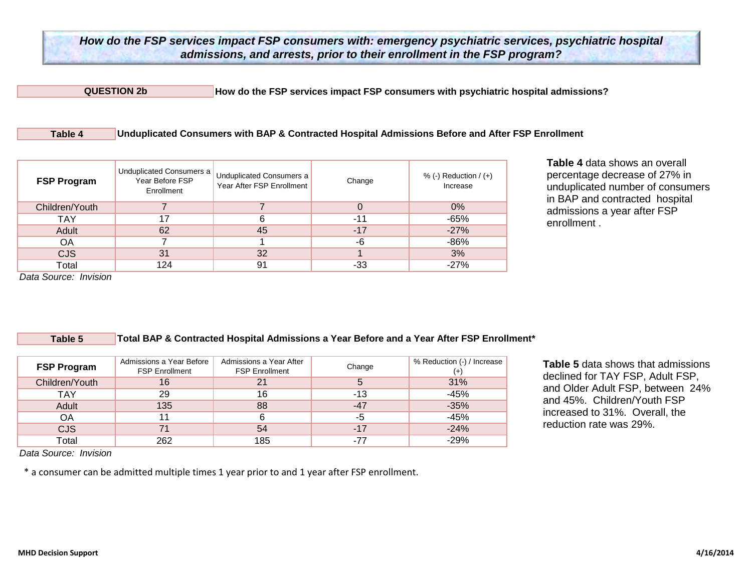**QUESTION 2b How do the FSP services impact FSP consumers with psychiatric hospital admissions?**

#### **Table 4 Unduplicated Consumers with BAP & Contracted Hospital Admissions Before and After FSP Enrollment**

| <b>FSP Program</b> | Unduplicated Consumers a<br>Year Before FSP<br>Enrollment | <b>Unduplicated Consumers a</b><br>Year After FSP Enrollment | Change | % (-) Reduction $/(+)$<br>Increase |
|--------------------|-----------------------------------------------------------|--------------------------------------------------------------|--------|------------------------------------|
| Children/Youth     |                                                           |                                                              | 0      | $0\%$                              |
| <b>TAY</b>         | 17                                                        | 6                                                            | -11    | $-65%$                             |
| Adult              | 62                                                        | 45                                                           | $-17$  | $-27%$                             |
| ΟA                 |                                                           |                                                              | -6     | $-86%$                             |
| <b>CJS</b>         | 31                                                        | 32                                                           |        | 3%                                 |
| Total              | 124                                                       | 91                                                           | -33    | $-27%$                             |

**Table 4** data shows an overall percentage decrease of 27% in unduplicated number of consumers in BAP and contracted hospital admissions a year after FSP enrollment .

*Data Source: Invision* 

#### **Table 5 Total BAP & Contracted Hospital Admissions a Year Before and a Year After FSP Enrollment\***

| <b>FSP Program</b> | Admissions a Year Before<br><b>FSP Enrollment</b> | Admissions a Year After<br><b>FSP Enrollment</b> | Change | % Reduction (-) / Increase |
|--------------------|---------------------------------------------------|--------------------------------------------------|--------|----------------------------|
| Children/Youth     | 16                                                |                                                  | 5      | 31%                        |
| <b>TAY</b>         | 29                                                | 16                                               | -13    | $-45%$                     |
| Adult              | 135                                               | 88                                               | $-47$  | $-35%$                     |
| ΟA                 | 11                                                |                                                  | -5     | $-45%$                     |
| <b>CJS</b>         | 71                                                | 54                                               | $-17$  | $-24%$                     |
| Total              | 262                                               | 185                                              | -77    | $-29%$                     |

**Table 5** data shows that admissions declined for TAY FSP, Adult FSP, and Older Adult FSP, between 24% and 45%. Children/Youth FSP increased to 31%. Overall, the reduction rate was 29%.

*Data Source: Invision*

\* a consumer can be admitted multiple times 1 year prior to and 1 year after FSP enrollment.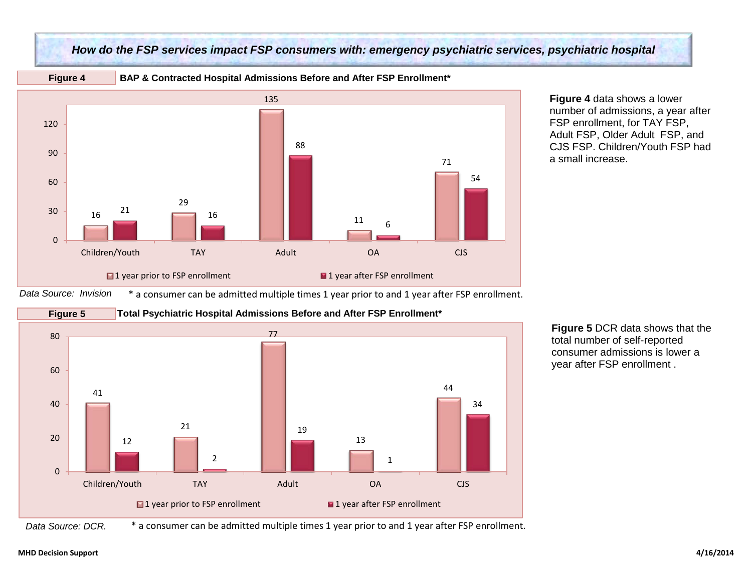

## *How do the FSP services impact FSP consumers with: emergency psychiatric services, psychiatric hospital*

**Figure 4 BAP & Contracted Hospital Admissions Before and After FSP Enrollment\*** 

**Figure 4** data shows a lower number of admissions, a year after FSP enrollment, for TAY FSP, Adult FSP, Older Adult FSP, and CJS FSP. Children/Youth FSP had a small increase.





**Figure 5** DCR data shows that the total number of self-reported consumer admissions is lower a year after FSP enrollment .

*Data Source: DCR.* \* a consumer can be admitted multiple times 1 year prior to and 1 year after FSP enrollment.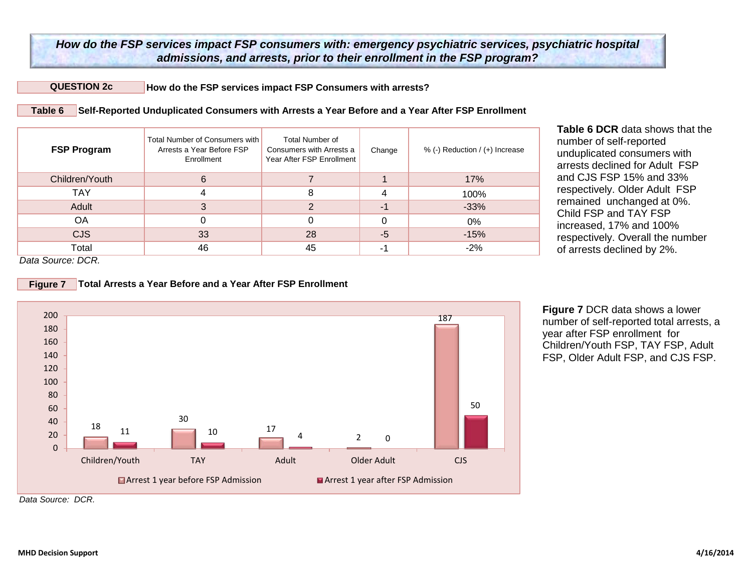#### **QUESTION 2c How do the FSP services impact FSP Consumers with arrests?**

**Total Arrests a Year Before and a Year After FSP Enrollment**

**Table 6 Self-Reported Unduplicated Consumers with Arrests a Year Before and a Year After FSP Enrollment**

| <b>FSP Program</b> | Total Number of Consumers with<br>Arrests a Year Before FSP<br>Enrollment | Total Number of<br>Consumers with Arrests a<br>Year After FSP Enrollment | Change | % (-) Reduction / (+) Increase |
|--------------------|---------------------------------------------------------------------------|--------------------------------------------------------------------------|--------|--------------------------------|
| Children/Youth     | 6                                                                         |                                                                          |        | 17%                            |
| TAY                |                                                                           |                                                                          |        | 100%                           |
| Adult              |                                                                           | ົ                                                                        | -1     | $-33%$                         |
| ΟA                 |                                                                           |                                                                          |        | 0%                             |
| <b>CJS</b>         | 33                                                                        | 28                                                                       | $-5$   | $-15%$                         |
| Total              | 46                                                                        | 45                                                                       | -1     | $-2%$                          |

**Table 6 DCR** data shows that the number of self-reported unduplicated consumers with arrests declined for Adult FSP and CJS FSP 15% and 33% respectively. Older Adult FSP remained unchanged at 0%. Child FSP and TAY FSP increased, 17% and 100% respectively. Overall the number of arrests declined by 2%.

*Data Source: DCR.*

**Figure 7**



**Figure 7** DCR data shows a lower number of self-reported total arrests, a year after FSP enrollment for Children/Youth FSP, TAY FSP, Adult FSP, Older Adult FSP, and CJS FSP.

*Data Source: DCR.*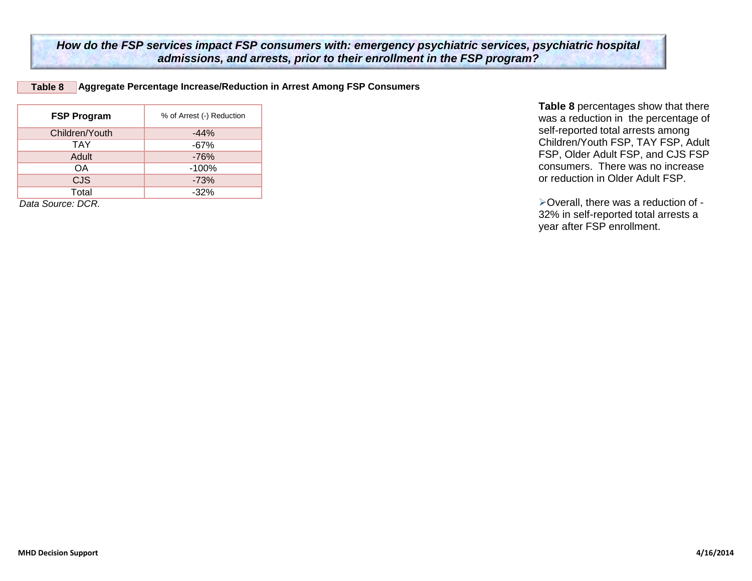**Table 8 Aggregate Percentage Increase/Reduction in Arrest Among FSP Consumers**

| <b>FSP Program</b> | % of Arrest (-) Reduction |
|--------------------|---------------------------|
| Children/Youth     | $-44%$                    |
| <b>TAY</b>         | $-67%$                    |
| Adult              | $-76%$                    |
| OΑ                 | $-100%$                   |
| <b>CJS</b>         | $-73%$                    |
| Total              | $-32%$                    |
| 0.1. 0 DOD         |                           |

*Data Source: DCR.*

**Table 8** percentages show that there was a reduction in the percentage of self-reported total arrests among Children/Youth FSP, TAY FSP, Adult FSP, Older Adult FSP, and CJS FSP consumers. There was no increase or reduction in Older Adult FSP.

Overall, there was a reduction of - 32% in self-reported total arrests a year after FSP enrollment.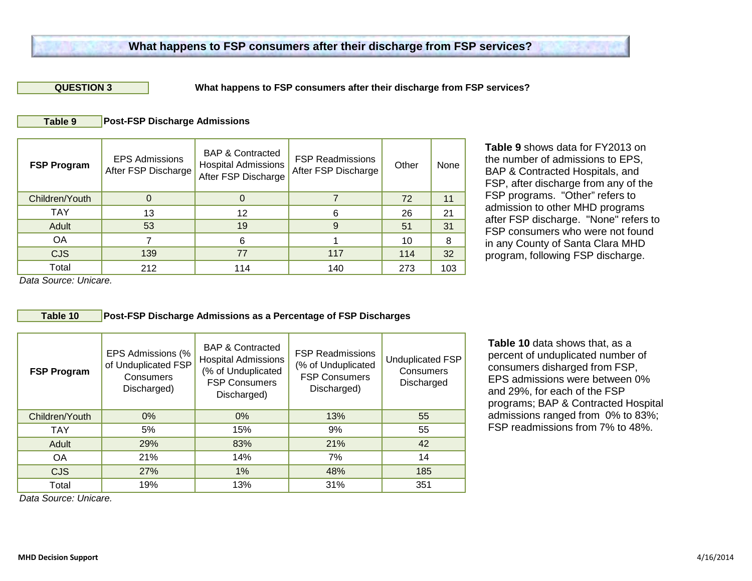#### **QUESTION 3**

**What happens to FSP consumers after their discharge from FSP services?**

#### **Table 9 Post-FSP Discharge Admissions**

| <b>FSP Program</b> | <b>EPS Admissions</b><br>After FSP Discharge | <b>BAP &amp; Contracted</b><br><b>Hospital Admissions</b><br>After FSP Discharge | <b>FSP Readmissions</b><br>After FSP Discharge | Other | None |
|--------------------|----------------------------------------------|----------------------------------------------------------------------------------|------------------------------------------------|-------|------|
| Children/Youth     |                                              | 0                                                                                |                                                | 72    | 11   |
| TAY                | 13                                           | 12                                                                               | 6                                              | 26    | 21   |
| Adult              | 53                                           | 19                                                                               | 9                                              | 51    | 31   |
| OA                 |                                              | 6                                                                                |                                                | 10    | 8    |
| <b>CJS</b>         | 139                                          | 77                                                                               | 117                                            | 114   | 32   |
| Total              | 212                                          | 114                                                                              | 140                                            | 273   | 103  |

**Table 9** shows data for FY2013 on the number of admissions to EPS, BAP & Contracted Hospitals, and FSP, after discharge from any of the FSP programs. "Other" refers to admission to other MHD programs after FSP discharge. "None" refers to FSP consumers who were not found in any County of Santa Clara MHD program, following FSP discharge.

*Data Source: Unicare.*

### **Table 10 Post-FSP Discharge Admissions as a Percentage of FSP Discharges**

| <b>FSP Program</b>   | EPS Admissions (%<br>of Unduplicated FSP<br>Consumers<br>Discharged) | <b>BAP &amp; Contracted</b><br><b>Hospital Admissions</b><br>(% of Unduplicated<br><b>FSP Consumers</b><br>Discharged) | <b>FSP Readmissions</b><br>(% of Unduplicated<br><b>FSP Consumers</b><br>Discharged) | <b>Unduplicated FSP</b><br>Consumers<br>Discharged |
|----------------------|----------------------------------------------------------------------|------------------------------------------------------------------------------------------------------------------------|--------------------------------------------------------------------------------------|----------------------------------------------------|
| Children/Youth       | 0%                                                                   | $0\%$                                                                                                                  | 13%                                                                                  | 55                                                 |
| <b>TAY</b>           | 5%                                                                   | 15%                                                                                                                    | 9%                                                                                   | 55                                                 |
| Adult                | 29%                                                                  | 83%                                                                                                                    | 21%                                                                                  | 42                                                 |
| <b>OA</b>            | 21%                                                                  | 14%                                                                                                                    | 7%                                                                                   | 14                                                 |
| <b>CJS</b>           | 27%                                                                  | 1%                                                                                                                     | 48%                                                                                  | 185                                                |
| Total<br>.<br>$\sim$ | 19%                                                                  | 13%                                                                                                                    | 31%                                                                                  | 351                                                |

**Table 10** data shows that, as a percent of unduplicated number of consumers disharged from FSP, EPS admissions were between 0% and 29%, for each of the FSP programs; BAP & Contracted Hospital admissions ranged from 0% to 83%; FSP readmissions from 7% to 48%.

*Data Source: Unicare.*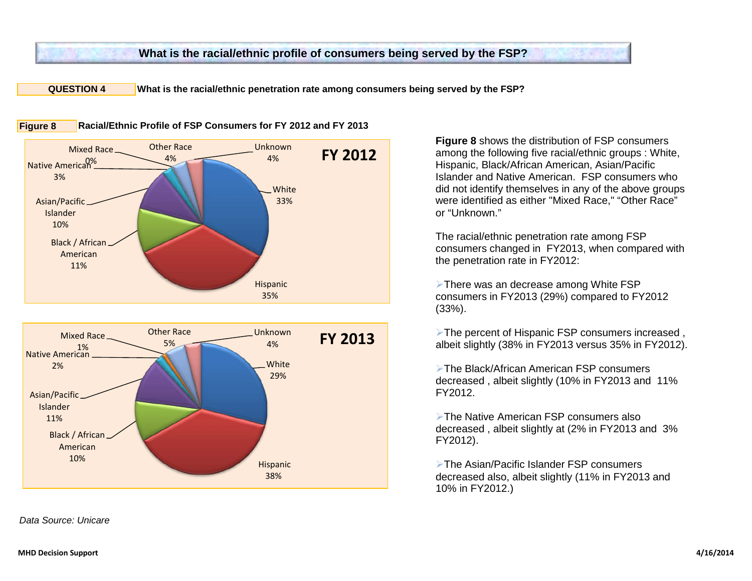## **What is the racial/ethnic profile of consumers being served by the FSP?**

**QUESTION 4 What is the racial/ethnic penetration rate among consumers being served by the FSP?** 



**White** 29% **Hispanic** 38% Black / African American 10% Asian/Pacific Islander 11% Native American 2% Mixed Race 1% Other Race 5% Unknown 4% **FY 2013**

*Data Source: Unicare* 

**Figure 8** shows the distribution of FSP consumers among the following five racial/ethnic groups : White, Hispanic, Black/African American, Asian/Pacific Islander and Native American. FSP consumers who did not identify themselves in any of the above groups were identified as either "Mixed Race," "Other Race" or "Unknown."

The racial/ethnic penetration rate among FSP consumers changed in FY2013, when compared with the penetration rate in FY2012:

> There was an decrease among White FSP consumers in FY2013 (29%) compared to FY2012 (33%).

**Extemperant of Hispanic FSP consumers increased,** albeit slightly (38% in FY2013 versus 35% in FY2012).

The Black/African American FSP consumers decreased , albeit slightly (10% in FY2013 and 11% FY2012.

The Native American FSP consumers also decreased , albeit slightly at (2% in FY2013 and 3% FY2012).

The Asian/Pacific Islander FSP consumers decreased also, albeit slightly (11% in FY2013 and 10% in FY2012.)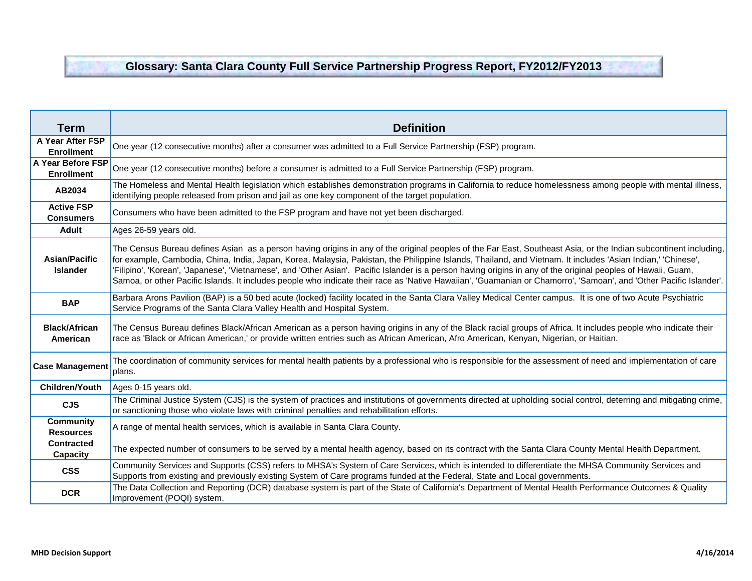# **Glossary: Santa Clara County Full Service Partnership Progress Report, FY2012/FY2013**

| <b>Term</b>                             | <b>Definition</b>                                                                                                                                                                                                                                                                                                                                                                                                                                                                                                                                                                                                                                                        |
|-----------------------------------------|--------------------------------------------------------------------------------------------------------------------------------------------------------------------------------------------------------------------------------------------------------------------------------------------------------------------------------------------------------------------------------------------------------------------------------------------------------------------------------------------------------------------------------------------------------------------------------------------------------------------------------------------------------------------------|
| A Year After FSP<br><b>Enrollment</b>   | One year (12 consecutive months) after a consumer was admitted to a Full Service Partnership (FSP) program.                                                                                                                                                                                                                                                                                                                                                                                                                                                                                                                                                              |
| A Year Before FSP<br><b>Enrollment</b>  | One year (12 consecutive months) before a consumer is admitted to a Full Service Partnership (FSP) program.                                                                                                                                                                                                                                                                                                                                                                                                                                                                                                                                                              |
| AB2034                                  | The Homeless and Mental Health legislation which establishes demonstration programs in California to reduce homelessness among people with mental illness,<br>identifying people released from prison and jail as one key component of the target population.                                                                                                                                                                                                                                                                                                                                                                                                            |
| <b>Active FSP</b><br><b>Consumers</b>   | Consumers who have been admitted to the FSP program and have not yet been discharged.                                                                                                                                                                                                                                                                                                                                                                                                                                                                                                                                                                                    |
| <b>Adult</b>                            | Ages 26-59 years old.                                                                                                                                                                                                                                                                                                                                                                                                                                                                                                                                                                                                                                                    |
| <b>Asian/Pacific</b><br><b>Islander</b> | The Census Bureau defines Asian as a person having origins in any of the original peoples of the Far East, Southeast Asia, or the Indian subcontinent including,<br>for example, Cambodia, China, India, Japan, Korea, Malaysia, Pakistan, the Philippine Islands, Thailand, and Vietnam. It includes 'Asian Indian,' 'Chinese',<br>'Filipino', 'Korean', 'Japanese', 'Vietnamese', and 'Other Asian'. Pacific Islander is a person having origins in any of the original peoples of Hawaii, Guam,<br>Samoa, or other Pacific Islands. It includes people who indicate their race as 'Native Hawaiian', 'Guamanian or Chamorro', 'Samoan', and 'Other Pacific Islander'. |
| <b>BAP</b>                              | Barbara Arons Pavilion (BAP) is a 50 bed acute (locked) facility located in the Santa Clara Valley Medical Center campus. It is one of two Acute Psychiatric<br>Service Programs of the Santa Clara Valley Health and Hospital System.                                                                                                                                                                                                                                                                                                                                                                                                                                   |
| <b>Black/African</b><br>American        | The Census Bureau defines Black/African American as a person having origins in any of the Black racial groups of Africa. It includes people who indicate their<br>race as 'Black or African American,' or provide written entries such as African American, Afro American, Kenyan, Nigerian, or Haitian.                                                                                                                                                                                                                                                                                                                                                                 |
| <b>Case Management</b>                  | The coordination of community services for mental health patients by a professional who is responsible for the assessment of need and implementation of care<br>plans.                                                                                                                                                                                                                                                                                                                                                                                                                                                                                                   |
| <b>Children/Youth</b>                   | Ages 0-15 years old.                                                                                                                                                                                                                                                                                                                                                                                                                                                                                                                                                                                                                                                     |
| <b>CJS</b>                              | The Criminal Justice System (CJS) is the system of practices and institutions of governments directed at upholding social control, deterring and mitigating crime,<br>or sanctioning those who violate laws with criminal penalties and rehabilitation efforts.                                                                                                                                                                                                                                                                                                                                                                                                          |
| <b>Community</b><br><b>Resources</b>    | A range of mental health services, which is available in Santa Clara County.                                                                                                                                                                                                                                                                                                                                                                                                                                                                                                                                                                                             |
| <b>Contracted</b><br>Capacity           | The expected number of consumers to be served by a mental health agency, based on its contract with the Santa Clara County Mental Health Department.                                                                                                                                                                                                                                                                                                                                                                                                                                                                                                                     |
| <b>CSS</b>                              | Community Services and Supports (CSS) refers to MHSA's System of Care Services, which is intended to differentiate the MHSA Community Services and<br>Supports from existing and previously existing System of Care programs funded at the Federal, State and Local governments.                                                                                                                                                                                                                                                                                                                                                                                         |
| <b>DCR</b>                              | The Data Collection and Reporting (DCR) database system is part of the State of California's Department of Mental Health Performance Outcomes & Quality<br>Improvement (POQI) system.                                                                                                                                                                                                                                                                                                                                                                                                                                                                                    |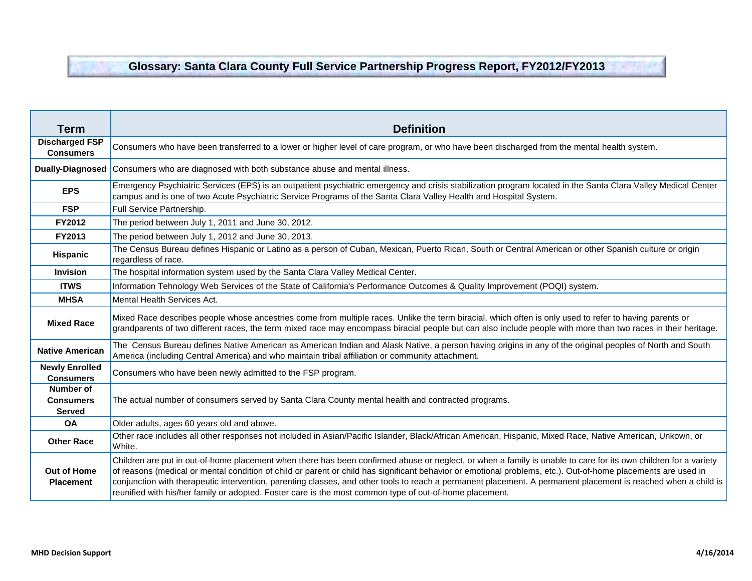## **Glossary: Santa Clara County Full Service Partnership Progress Report, FY2012/FY2013**

| Term                                           | <b>Definition</b>                                                                                                                                                                                                                                                                                                                                                                                                                                                                                                                                                                                             |
|------------------------------------------------|---------------------------------------------------------------------------------------------------------------------------------------------------------------------------------------------------------------------------------------------------------------------------------------------------------------------------------------------------------------------------------------------------------------------------------------------------------------------------------------------------------------------------------------------------------------------------------------------------------------|
| <b>Discharged FSP</b><br><b>Consumers</b>      | Consumers who have been transferred to a lower or higher level of care program, or who have been discharged from the mental health system.                                                                                                                                                                                                                                                                                                                                                                                                                                                                    |
| <b>Dually-Diagnosed</b>                        | Consumers who are diagnosed with both substance abuse and mental illness.                                                                                                                                                                                                                                                                                                                                                                                                                                                                                                                                     |
| <b>EPS</b>                                     | Emergency Psychiatric Services (EPS) is an outpatient psychiatric emergency and crisis stabilization program located in the Santa Clara Valley Medical Center<br>campus and is one of two Acute Psychiatric Service Programs of the Santa Clara Valley Health and Hospital System.                                                                                                                                                                                                                                                                                                                            |
| <b>FSP</b>                                     | Full Service Partnership.                                                                                                                                                                                                                                                                                                                                                                                                                                                                                                                                                                                     |
| FY2012                                         | The period between July 1, 2011 and June 30, 2012.                                                                                                                                                                                                                                                                                                                                                                                                                                                                                                                                                            |
| FY2013                                         | The period between July 1, 2012 and June 30, 2013.                                                                                                                                                                                                                                                                                                                                                                                                                                                                                                                                                            |
| Hispanic                                       | The Census Bureau defines Hispanic or Latino as a person of Cuban, Mexican, Puerto Rican, South or Central American or other Spanish culture or origin<br>regardless of race.                                                                                                                                                                                                                                                                                                                                                                                                                                 |
| <b>Invision</b>                                | The hospital information system used by the Santa Clara Valley Medical Center.                                                                                                                                                                                                                                                                                                                                                                                                                                                                                                                                |
| <b>ITWS</b>                                    | Information Tehnology Web Services of the State of California's Performance Outcomes & Quality Improvement (POQI) system.                                                                                                                                                                                                                                                                                                                                                                                                                                                                                     |
| <b>MHSA</b>                                    | Mental Health Services Act.                                                                                                                                                                                                                                                                                                                                                                                                                                                                                                                                                                                   |
| <b>Mixed Race</b>                              | Mixed Race describes people whose ancestries come from multiple races. Unlike the term biracial, which often is only used to refer to having parents or<br>grandparents of two different races, the term mixed race may encompass biracial people but can also include people with more than two races in their heritage.                                                                                                                                                                                                                                                                                     |
| <b>Native American</b>                         | The Census Bureau defines Native American as American Indian and Alask Native, a person having origins in any of the original peoples of North and South<br>America (including Central America) and who maintain tribal affiliation or community attachment.                                                                                                                                                                                                                                                                                                                                                  |
| <b>Newly Enrolled</b><br><b>Consumers</b>      | Consumers who have been newly admitted to the FSP program.                                                                                                                                                                                                                                                                                                                                                                                                                                                                                                                                                    |
| Number of<br><b>Consumers</b><br><b>Served</b> | The actual number of consumers served by Santa Clara County mental health and contracted programs.                                                                                                                                                                                                                                                                                                                                                                                                                                                                                                            |
| <b>OA</b>                                      | Older adults, ages 60 years old and above.                                                                                                                                                                                                                                                                                                                                                                                                                                                                                                                                                                    |
| <b>Other Race</b>                              | Other race includes all other responses not included in Asian/Pacific Islander, Black/African American, Hispanic, Mixed Race, Native American, Unkown, or<br>White.                                                                                                                                                                                                                                                                                                                                                                                                                                           |
| <b>Out of Home</b><br><b>Placement</b>         | Children are put in out-of-home placement when there has been confirmed abuse or neglect, or when a family is unable to care for its own children for a variety<br>of reasons (medical or mental condition of child or parent or child has significant behavior or emotional problems, etc.). Out-of-home placements are used in<br>conjunction with therapeutic intervention, parenting classes, and other tools to reach a permanent placement. A permanent placement is reached when a child is<br>reunified with his/her family or adopted. Foster care is the most common type of out-of-home placement. |